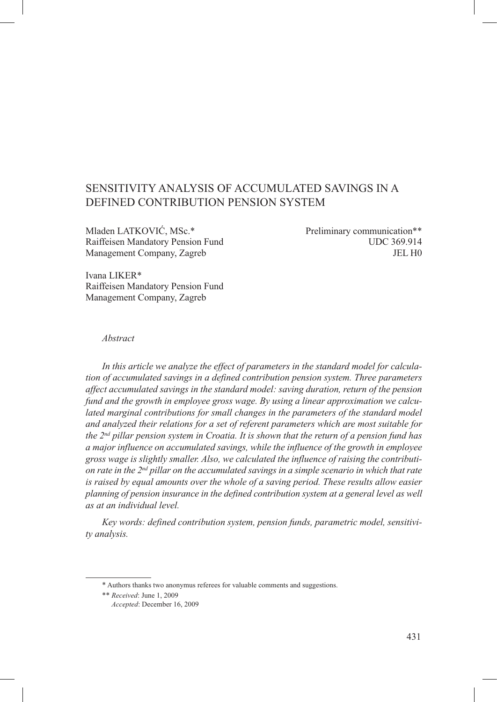# Sensitivity Analysis of Accumulated Savings in a Defined Contribution Pension System

Mladen LATKOVIĆ, MSc.\* Preliminary communication\*\* Raiffeisen Mandatory Pension Fund<br>
UDC 369.914 Management Company, Zagreb JEL H0

Ivana LIKER\* Raiffeisen Mandatory Pension Fund Management Company, Zagreb

# *Abstract*

*In this article we analyze the effect of parameters in the standard model for calculation of accumulated savings in a defined contribution pension system. Three parameters affect accumulated savings in the standard model: saving duration, return of the pension fund and the growth in employee gross wage. By using a linear approximation we calcu*lated marginal contributions for small changes in the parameters of the standard model *and analyzed their relations for a set of referent parameters which are most suitable for the 2nd pillar pension system in Croatia. It is shown that the return of a pension fund has a major influence on accumulated savings, while the influence of the growth in employee gross wage is slightly smaller. Also, we calculated the influence of raising the contribution rate in the 2nd pillar on the accumulated savings in a simple scenario in which that rate is raised by equal amounts over the whole of a saving period. These results allow easier planning of pension insurance in the defined contribution system at a general level as well as at an individual level.*

*Key words: defined contribution system, pension funds, parametric model, sensitivity analysis.*

<sup>\*</sup> Authors thanks two anonymus referees for valuable comments and suggestions.

<sup>\*\*</sup> *Received*: June 1, 2009 *Accepted*: December 16, 2009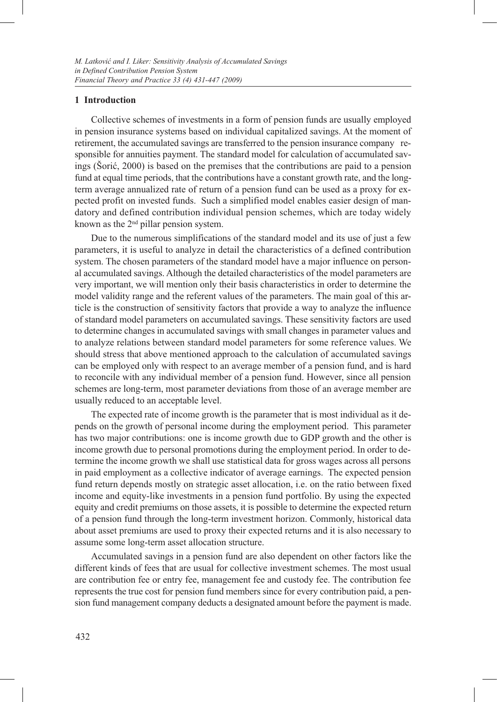### **1 Introduction**

Collective schemes of investments in a form of pension funds are usually employed in pension insurance systems based on individual capitalized savings. At the moment of retirement, the accumulated savings are transferred to the pension insurance company responsible for annuities payment. The standard model for calculation of accumulated savings (Šorić, 2000) is based on the premises that the contributions are paid to a pension fund at equal time periods, that the contributions have a constant growth rate, and the longterm average annualized rate of return of a pension fund can be used as a proxy for expected profit on invested funds. Such a simplified model enables easier design of mandatory and defined contribution individual pension schemes, which are today widely known as the 2nd pillar pension system.

Due to the numerous simplifications of the standard model and its use of just a few parameters, it is useful to analyze in detail the characteristics of a defined contribution system. The chosen parameters of the standard model have a major influence on personal accumulated savings. Although the detailed characteristics of the model parameters are very important, we will mention only their basis characteristics in order to determine the model validity range and the referent values of the parameters. The main goal of this article is the construction of sensitivity factors that provide a way to analyze the influence of standard model parameters on accumulated savings. These sensitivity factors are used to determine changes in accumulated savings with small changes in parameter values and to analyze relations between standard model parameters for some reference values. We should stress that above mentioned approach to the calculation of accumulated savings can be employed only with respect to an average member of a pension fund, and is hard to reconcile with any individual member of a pension fund. However, since all pension schemes are long-term, most parameter deviations from those of an average member are usually reduced to an acceptable level.

The expected rate of income growth is the parameter that is most individual as it depends on the growth of personal income during the employment period. This parameter has two major contributions: one is income growth due to GDP growth and the other is income growth due to personal promotions during the employment period. In order to determine the income growth we shall use statistical data for gross wages across all persons in paid employment as a collective indicator of average earnings. The expected pension fund return depends mostly on strategic asset allocation, i.e. on the ratio between fixed income and equity-like investments in a pension fund portfolio. By using the expected equity and credit premiums on those assets, it is possible to determine the expected return of a pension fund through the long-term investment horizon. Commonly, historical data about asset premiums are used to proxy their expected returns and it is also necessary to assume some long-term asset allocation structure.

Accumulated savings in a pension fund are also dependent on other factors like the different kinds of fees that are usual for collective investment schemes. The most usual are contribution fee or entry fee, management fee and custody fee. The contribution fee represents the true cost for pension fund members since for every contribution paid, a pension fund management company deducts a designated amount before the payment is made.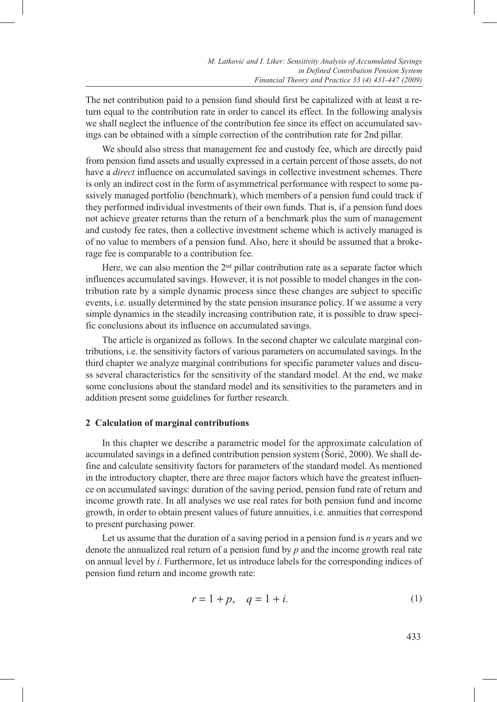The net contribution paid to a pension fund should first be capitalized with at least a return equal to the contribution rate in order to cancel its effect. In the following analysis we shall neglect the influence of the contribution fee since its effect on accumulated savings can be obtained with a simple correction of the contribution rate for 2nd pillar.

We should also stress that management fee and custody fee, which are directly paid from pension fund assets and usually expressed in a certain percent of those assets, do not have a *direct* influence on accumulated savings in collective investment schemes. There is only an indirect cost in the form of asymmetrical performance with respect to some passively managed portfolio (benchmark), which members of a pension fund could track if they performed individual investments of their own funds. That is, if a pension fund does not achieve greater returns than the return of a benchmark plus the sum of management and custody fee rates, then a collective investment scheme which is actively managed is of no value to members of a pension fund. Also, here it should be assumed that a brokerage fee is comparable to a contribution fee.

Here, we can also mention the  $2<sup>nd</sup>$  pillar contribution rate as a separate factor which influences accumulated savings. However, it is not possible to model changes in the contribution rate by a simple dynamic process since these changes are subject to specific events, i.e. usually determined by the state pension insurance policy. If we assume a very simple dynamics in the steadily increasing contribution rate, it is possible to draw specific conclusions about its influence on accumulated savings.

The article is organized as follows. In the second chapter we calculate marginal contributions, i.e. the sensitivity factors of various parameters on accumulated savings. In the third chapter we analyze marginal contributions for specific parameter values and discuss several characteristics for the sensitivity of the standard model. At the end, we make some conclusions about the standard model and its sensitivities to the parameters and in addition present some guidelines for further research.

## **2 Calculation of marginal contributions**

In this chapter we describe a parametric model for the approximate calculation of accumulated savings in a defined contribution pension system (Šorić, 2000). We shall define and calculate sensitivity factors for parameters of the standard model. As mentioned in the introductory chapter, there are three major factors which have the greatest influence on accumulated savings: duration of the saving period, pension fund rate of return and income growth rate. In all analyses we use real rates for both pension fund and income growth, in order to obtain present values of future annuities, i.e. annuities that correspond to present purchasing power.

Let us assume that the duration of a saving period in a pension fund is *n* years and we denote the annualized real return of a pension fund by *p* and the income growth real rate on annual level by *i*. Furthermore, let us introduce labels for the corresponding indices of pension fund return and income growth rate:

$$
r = 1 + p, \quad q = 1 + i. \tag{1}
$$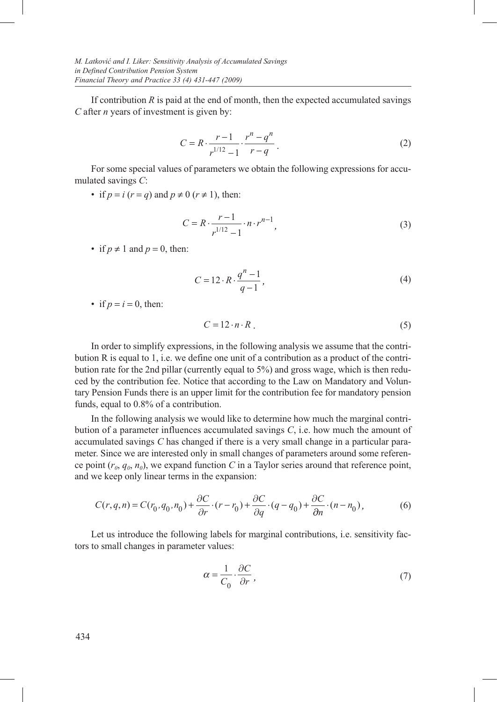If contribution *R* is paid at the end of month, then the expected accumulated savings *C* after *n* years of investment is given by:

$$
C = R \cdot \frac{r-1}{r^{1/12} - 1} \cdot \frac{r^n - q^n}{r - q} \,. \tag{2}
$$

For some special values of parameters we obtain the following expressions for accumulated savings *C*:

• if  $p = i$  ( $r = q$ ) and  $p \neq 0$  ( $r \neq 1$ ), then:

$$
C = R \cdot \frac{r-1}{r^{1/12} - 1} \cdot n \cdot r^{n-1},\tag{3}
$$

• if  $p \neq 1$  and  $p = 0$ , then:

$$
C = 12 \cdot R \cdot \frac{q^n - 1}{q - 1},\tag{4}
$$

• if  $p = i = 0$ , then:

$$
C = 12 \cdot n \cdot R \tag{5}
$$

In order to simplify expressions, in the following analysis we assume that the contribution R is equal to 1, i.e. we define one unit of a contribution as a product of the contribution rate for the 2nd pillar (currently equal to 5%) and gross wage, which is then reduced by the contribution fee. Notice that according to the Law on Mandatory and Voluntary Pension Funds there is an upper limit for the contribution fee for mandatory pension funds, equal to 0.8% of a contribution.

In the following analysis we would like to determine how much the marginal contribution of a parameter influences accumulated savings *C*, i.e. how much the amount of accumulated savings *C* has changed if there is a very small change in a particular parameter. Since we are interested only in small changes of parameters around some reference point  $(r_0, q_0, n_0)$ , we expand function *C* in a Taylor series around that reference point, and we keep only linear terms in the expansion:

$$
C(r, q, n) = C(r_0, q_0, n_0) + \frac{\partial C}{\partial r} \cdot (r - r_0) + \frac{\partial C}{\partial q} \cdot (q - q_0) + \frac{\partial C}{\partial n} \cdot (n - n_0),\tag{6}
$$

Let us introduce the following labels for marginal contributions, i.e. sensitivity factors to small changes in parameter values:

$$
\alpha = \frac{1}{C_0} \cdot \frac{\partial C}{\partial r},\tag{7}
$$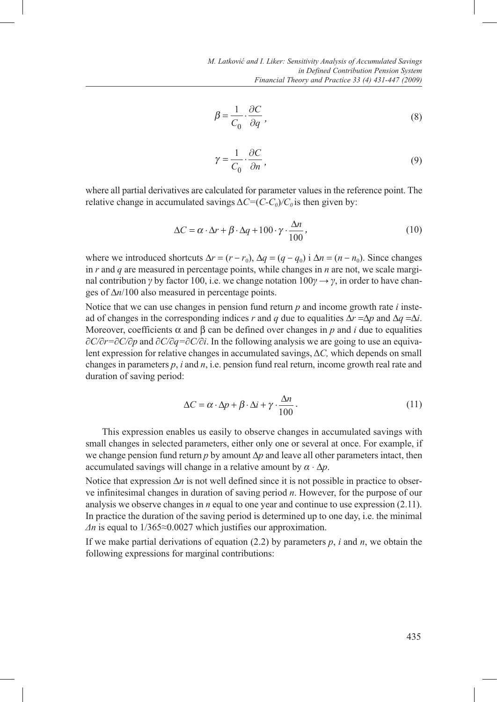$$
\beta = \frac{1}{C_0} \cdot \frac{\partial C}{\partial q},\tag{8}
$$

$$
\gamma = \frac{1}{C_0} \cdot \frac{\partial C}{\partial n},\tag{9}
$$

where all partial derivatives are calculated for parameter values in the reference point. The relative change in accumulated savings  $\Delta C = (C - C_0)/C_0$  is then given by:

$$
\Delta C = \alpha \cdot \Delta r + \beta \cdot \Delta q + 100 \cdot \gamma \cdot \frac{\Delta n}{100},\tag{10}
$$

where we introduced shortcuts  $\Delta r = (r - r_0)$ ,  $\Delta q = (q - q_0)$  i  $\Delta n = (n - n_0)$ . Since changes in *r* and *q* are measured in percentage points, while changes in *n* are not, we scale marginal contribution *γ* by factor 100, i.e. we change notation  $100\gamma \rightarrow \gamma$ , in order to have changes of  $\Delta n/100$  also measured in percentage points.

Notice that we can use changes in pension fund return *p* and income growth rate *i* instead of changes in the corresponding indices *r* and *q* due to equalities  $\Delta r = \Delta p$  and  $\Delta q = \Delta i$ . Moreover, coefficients  $\alpha$  and  $\beta$  can be defined over changes in p and *i* due to equalities *∂C/∂r=∂C/∂p* and *∂C/∂q=∂C/∂i*. In the following analysis we are going to use an equivalent expression for relative changes in accumulated savings, Δ*C,* which depends on small changes in parameters *p*, *i* and *n*, i.e. pension fund real return, income growth real rate and duration of saving period:

$$
\Delta C = \alpha \cdot \Delta p + \beta \cdot \Delta i + \gamma \cdot \frac{\Delta n}{100} \,. \tag{11}
$$

This expression enables us easily to observe changes in accumulated savings with small changes in selected parameters, either only one or several at once. For example, if we change pension fund return *p* by amount ∆*p* and leave all other parameters intact, then accumulated savings will change in a relative amount by  $\alpha \cdot \Delta p$ .

Notice that expression Δ*n* is not well defined since it is not possible in practice to observe infinitesimal changes in duration of saving period *n*. However, for the purpose of our analysis we observe changes in *n* equal to one year and continue to use expression (2.11). In practice the duration of the saving period is determined up to one day, i.e. the minimal *Δn* is equal to 1/365≈0.0027 which justifies our approximation.

If we make partial derivations of equation  $(2.2)$  by parameters p, *i* and n, we obtain the following expressions for marginal contributions: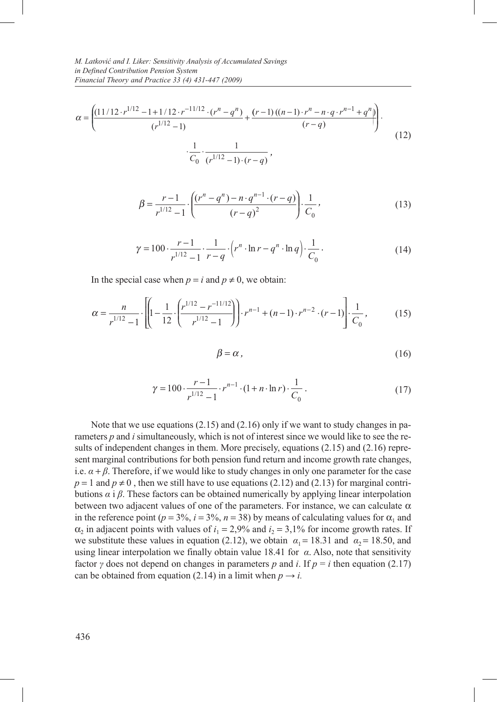$$
\alpha = \left( \frac{\left(11/12 \cdot r^{1/12} - 1 + 1/12 \cdot r^{-11/12} \cdot (r^n - q^n) + \frac{(r-1)\left((n-1) \cdot r^n - n \cdot q \cdot r^{n-1} + q^n\right)}{(r-q)}\right) \cdot \frac{1}{C_0} \cdot \frac{1}{(r^{1/12} - 1) \cdot (r-q)},\right)
$$
(12)

$$
\beta = \frac{r-1}{r^{1/12}-1} \cdot \left( \frac{(r^n - q^n) - n \cdot q^{n-1} \cdot (r-q)}{(r-q)^2} \right) \cdot \frac{1}{C_0},\tag{13}
$$

$$
\gamma = 100 \cdot \frac{r-1}{r^{1/12} - 1} \cdot \frac{1}{r - q} \cdot \left( r^n \cdot \ln r - q^n \cdot \ln q \right) \cdot \frac{1}{C_0} \,. \tag{14}
$$

In the special case when  $p = i$  and  $p \neq 0$ , we obtain:

$$
\alpha = \frac{n}{r^{1/12} - 1} \cdot \left[ \left( 1 - \frac{1}{12} \cdot \left( \frac{r^{1/12} - r^{-11/12}}{r^{1/12} - 1} \right) \right) \cdot r^{n-1} + (n-1) \cdot r^{n-2} \cdot (r-1) \right] \cdot \frac{1}{C_0},\tag{15}
$$

$$
\beta = \alpha \,,\tag{16}
$$

$$
\gamma = 100 \cdot \frac{r-1}{r^{1/12} - 1} \cdot r^{n-1} \cdot (1 + n \cdot \ln r) \cdot \frac{1}{C_0} \,. \tag{17}
$$

Note that we use equations (2.15) and (2.16) only if we want to study changes in parameters *p* and *i* simultaneously, which is not of interest since we would like to see the results of independent changes in them. More precisely, equations (2.15) and (2.16) represent marginal contributions for both pension fund return and income growth rate changes, i.e.  $\alpha + \beta$ . Therefore, if we would like to study changes in only one parameter for the case  $p = 1$  and  $p \ne 0$ , then we still have to use equations (2.12) and (2.13) for marginal contributions *α* i *β*. These factors can be obtained numerically by applying linear interpolation between two adjacent values of one of the parameters. For instance, we can calculate  $\alpha$ in the reference point ( $p = 3\%, i = 3\%, n = 38$ ) by means of calculating values for  $\alpha_1$  and  $\alpha_2$  in adjacent points with values of  $i_1 = 2,9\%$  and  $i_2 = 3,1\%$  for income growth rates. If we substitute these values in equation (2.12), we obtain  $\alpha_1 = 18.31$  and  $\alpha_2 = 18.50$ , and using linear interpolation we finally obtain value 18.41 for *α*. Also, note that sensitivity factor *γ* does not depend on changes in parameters *p* and *i*. If  $p = i$  then equation (2.17) can be obtained from equation (2.14) in a limit when  $p \rightarrow i$ .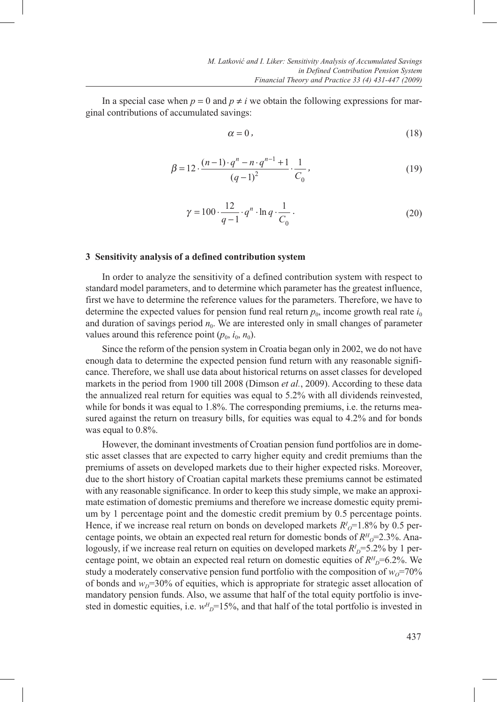In a special case when  $p = 0$  and  $p \neq i$  we obtain the following expressions for marginal contributions of accumulated savings:

$$
\alpha = 0 \tag{18}
$$

$$
\beta = 12 \cdot \frac{(n-1) \cdot q^{n} - n \cdot q^{n-1} + 1}{(q-1)^{2}} \cdot \frac{1}{C_0},
$$
\n(19)

$$
\gamma = 100 \cdot \frac{12}{q-1} \cdot q^n \cdot \ln q \cdot \frac{1}{C_0} \,. \tag{20}
$$

#### **3 Sensitivity analysis of a defined contribution system**

In order to analyze the sensitivity of a defined contribution system with respect to standard model parameters, and to determine which parameter has the greatest influence, first we have to determine the reference values for the parameters. Therefore, we have to determine the expected values for pension fund real return  $p_0$ , income growth real rate  $i_0$ and duration of savings period  $n_0$ . We are interested only in small changes of parameter values around this reference point  $(p_0, i_0, n_0)$ .

Since the reform of the pension system in Croatia began only in 2002, we do not have enough data to determine the expected pension fund return with any reasonable significance. Therefore, we shall use data about historical returns on asset classes for developed markets in the period from 1900 till 2008 (Dimson *et al.*, 2009). According to these data the annualized real return for equities was equal to 5.2% with all dividends reinvested, while for bonds it was equal to 1.8%. The corresponding premiums, i.e. the returns measured against the return on treasury bills, for equities was equal to 4.2% and for bonds was equal to 0.8%.

However, the dominant investments of Croatian pension fund portfolios are in domestic asset classes that are expected to carry higher equity and credit premiums than the premiums of assets on developed markets due to their higher expected risks. Moreover, due to the short history of Croatian capital markets these premiums cannot be estimated with any reasonable significance. In order to keep this study simple, we make an approximate estimation of domestic premiums and therefore we increase domestic equity premium by 1 percentage point and the domestic credit premium by 0.5 percentage points. Hence, if we increase real return on bonds on developed markets  $R^{I}{}_{O}$ =1.8% by 0.5 percentage points, we obtain an expected real return for domestic bonds of  $R<sup>H</sup><sub>O</sub>=2.3$ %. Analogously, if we increase real return on equities on developed markets  $R_D^I = 5.2\%$  by 1 percentage point, we obtain an expected real return on domestic equities of  $R<sup>H</sup><sub>D</sub>=6.2%$ . We study a moderately conservative pension fund portfolio with the composition of  $w_0$ =70% of bonds and  $w<sub>D</sub>=30%$  of equities, which is appropriate for strategic asset allocation of mandatory pension funds. Also, we assume that half of the total equity portfolio is invested in domestic equities, i.e.  $w_{D}^{H}$ =15%, and that half of the total portfolio is invested in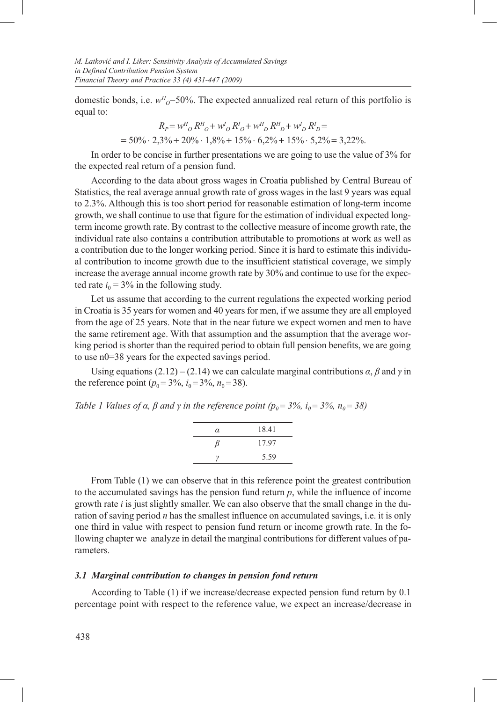domestic bonds, i.e.  $w_{\sigma}^H = 50\%$ . The expected annualized real return of this portfolio is equal to:

$$
R_P = w^H O R^H O + w^I O R^I O + w^H D R^H D + w^I D R^I D =
$$
  
= 50% · 2,3% + 20% · 1,8% + 15% · 6,2% + 15% · 5,2% = 3,22%.

In order to be concise in further presentations we are going to use the value of 3% for the expected real return of a pension fund.

According to the data about gross wages in Croatia published by Central Bureau of Statistics, the real average annual growth rate of gross wages in the last 9 years was equal to 2.3%. Although this is too short period for reasonable estimation of long-term income growth, we shall continue to use that figure for the estimation of individual expected longterm income growth rate. By contrast to the collective measure of income growth rate, the individual rate also contains a contribution attributable to promotions at work as well as a contribution due to the longer working period. Since it is hard to estimate this individual contribution to income growth due to the insufficient statistical coverage, we simply increase the average annual income growth rate by 30% and continue to use for the expected rate  $i_0$  = 3% in the following study.

Let us assume that according to the current regulations the expected working period in Croatia is 35 years for women and 40 years for men, if we assume they are all employed from the age of 25 years. Note that in the near future we expect women and men to have the same retirement age. With that assumption and the assumption that the average working period is shorter than the required period to obtain full pension benefits, we are going to use n0=38 years for the expected savings period.

Using equations  $(2.12) - (2.14)$  we can calculate marginal contributions  $\alpha$ ,  $\beta$  and  $\gamma$  in the reference point  $(p_0 = 3\%, i_0 = 3\%, n_0 = 38)$ .

|  |  |  |  |  | Table 1 Values of $\alpha$ , $\beta$ and $\gamma$ in the reference point ( $p_0 = 3\%$ , $i_0 = 3\%$ , $n_0 = 38$ ) |  |  |  |  |  |  |
|--|--|--|--|--|---------------------------------------------------------------------------------------------------------------------|--|--|--|--|--|--|
|--|--|--|--|--|---------------------------------------------------------------------------------------------------------------------|--|--|--|--|--|--|

| α  | 18.41 |
|----|-------|
| R  | 17.97 |
| ານ | 5.59  |

From Table (1) we can observe that in this reference point the greatest contribution to the accumulated savings has the pension fund return *p*, while the influence of income growth rate *i* is just slightly smaller. We can also observe that the small change in the duration of saving period *n* has the smallest influence on accumulated savings, i.e. it is only one third in value with respect to pension fund return or income growth rate. In the following chapter we analyze in detail the marginal contributions for different values of parameters.

# *3.1 Marginal contribution to changes in pension fond return*

According to Table (1) if we increase/decrease expected pension fund return by 0.1 percentage point with respect to the reference value, we expect an increase/decrease in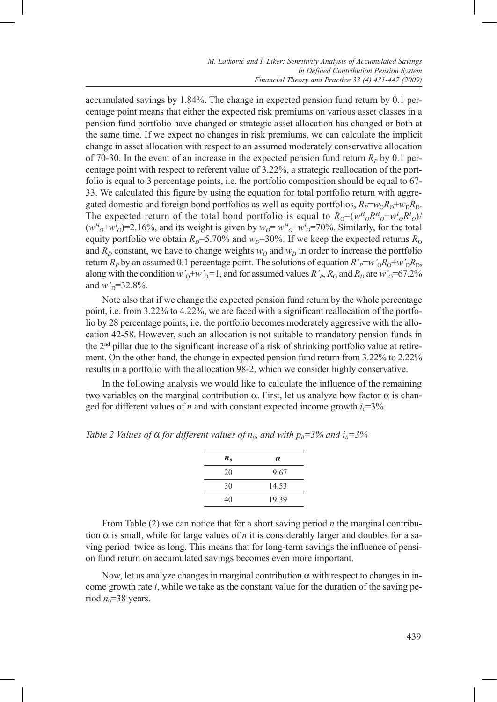accumulated savings by 1.84%. The change in expected pension fund return by 0.1 percentage point means that either the expected risk premiums on various asset classes in a pension fund portfolio have changed or strategic asset allocation has changed or both at the same time. If we expect no changes in risk premiums, we can calculate the implicit change in asset allocation with respect to an assumed moderately conservative allocation of 70-30. In the event of an increase in the expected pension fund return  $R<sub>p</sub>$  by 0.1 percentage point with respect to referent value of 3.22%, a strategic reallocation of the portfolio is equal to 3 percentage points, i.e. the portfolio composition should be equal to 67- 33. We calculated this figure by using the equation for total portfolio return with aggregated domestic and foreign bond portfolios as well as equity portfolios,  $R_P = w_0R_0 + w_0R_0$ . The expected return of the total bond portfolio is equal to  $R_0 = (w_H^H c_H^H)^+ w_H^I c_H^H c_H$  $(w<sup>H</sup><sub>O</sub>+w<sup>I</sup><sub>O</sub>)=2.16%,$  and its weight is given by  $w<sub>O</sub>=w<sup>H</sup><sub>O</sub>+w<sup>I</sup><sub>O</sub>=70%.$  Similarly, for the total equity portfolio we obtain  $R<sub>D</sub>=5.70%$  and  $w<sub>D</sub>=30%$ . If we keep the expected returns  $R<sub>O</sub>$ and  $R_D$  constant, we have to change weights  $w_O$  and  $w_D$  in order to increase the portfolio return  $R_p$  by an assumed 0.1 percentage point. The solutions of equation  $R'_p=w'_0R_0+w'_DR_D$ , along with the condition  $w'_0+w'_D=1$ , and for assumed values  $R'_P$ ,  $R_0$  and  $R_p$  are  $w'_0=67.2\%$ and  $w_{\text{D}} = 32.8\%$ .

Note also that if we change the expected pension fund return by the whole percentage point, i.e. from 3.22% to 4.22%, we are faced with a significant reallocation of the portfolio by 28 percentage points, i.e. the portfolio becomes moderately aggressive with the allocation 42-58. However, such an allocation is not suitable to mandatory pension funds in the 2nd pillar due to the significant increase of a risk of shrinking portfolio value at retirement. On the other hand, the change in expected pension fund return from 3.22% to 2.22% results in a portfolio with the allocation 98-2, which we consider highly conservative.

In the following analysis we would like to calculate the influence of the remaining two variables on the marginal contribution α. First, let us analyze how factor α is changed for different values of *n* and with constant expected income growth  $i_0$ =3%.

| $n_{\theta}$ | $\alpha$ |
|--------------|----------|
| 20           | 9.67     |
| 30           | 14.53    |
| 40           | 19.39    |

*Table 2 Values of*  $\alpha$  *for different values of*  $n_0$ *, and with*  $p_0 = 3\%$  *and*  $i_0 = 3\%$ 

From Table (2) we can notice that for a short saving period *n* the marginal contribution  $\alpha$  is small, while for large values of *n* it is considerably larger and doubles for a saving period twice as long. This means that for long-term savings the influence of pension fund return on accumulated savings becomes even more important.

Now, let us analyze changes in marginal contribution α with respect to changes in income growth rate *i*, while we take as the constant value for the duration of the saving period  $n_0$ =38 years.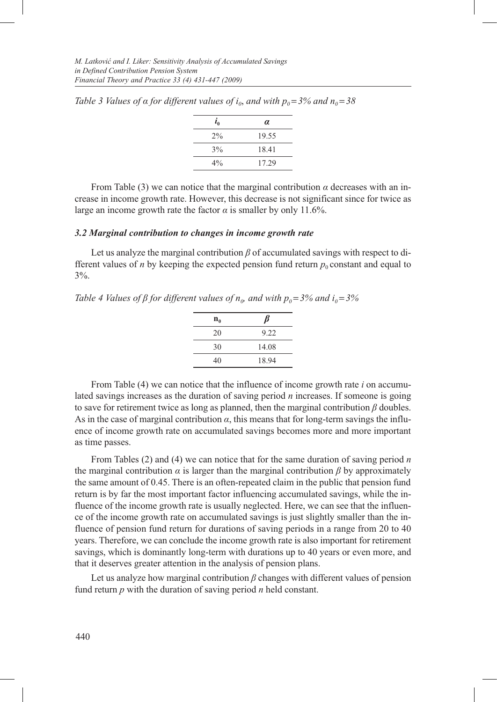| $\tilde{l}_0$ | $\alpha$ |
|---------------|----------|
| $2\%$         | 19.55    |
| 3%            | 18.41    |
| $4\%$         | 17.29    |

*Table 3 Values of*  $\alpha$  *for different values of*  $i_0$ *, and with*  $p_0 = 3\%$  *and*  $n_0 = 38$ 

From Table (3) we can notice that the marginal contribution  $\alpha$  decreases with an increase in income growth rate. However, this decrease is not significant since for twice as large an income growth rate the factor  $\alpha$  is smaller by only 11.6%.

## *3.2 Marginal contribution to changes in income growth rate*

Let us analyze the marginal contribution *β* of accumulated savings with respect to different values of *n* by keeping the expected pension fund return  $p_0$  constant and equal to 3%.

*Table 4 Values of β for different values of n<sub>0</sub>, and with*  $p_0 = 3\%$  *and*  $i_0 = 3\%$ 

| $n_{0}$ | $\beta$ |
|---------|---------|
| 20      | 9.22    |
| 30      | 14.08   |
| 40      | 18.94   |

From Table (4) we can notice that the influence of income growth rate *i* on accumulated savings increases as the duration of saving period *n* increases. If someone is going to save for retirement twice as long as planned, then the marginal contribution *β* doubles. As in the case of marginal contribution  $\alpha$ , this means that for long-term savings the influence of income growth rate on accumulated savings becomes more and more important as time passes.

From Tables (2) and (4) we can notice that for the same duration of saving period *n* the marginal contribution  $\alpha$  is larger than the marginal contribution  $\beta$  by approximately the same amount of 0.45. There is an often-repeated claim in the public that pension fund return is by far the most important factor influencing accumulated savings, while the influence of the income growth rate is usually neglected. Here, we can see that the influence of the income growth rate on accumulated savings is just slightly smaller than the influence of pension fund return for durations of saving periods in a range from 20 to 40 years. Therefore, we can conclude the income growth rate is also important for retirement savings, which is dominantly long-term with durations up to 40 years or even more, and that it deserves greater attention in the analysis of pension plans.

Let us analyze how marginal contribution *β* changes with different values of pension fund return *p* with the duration of saving period *n* held constant.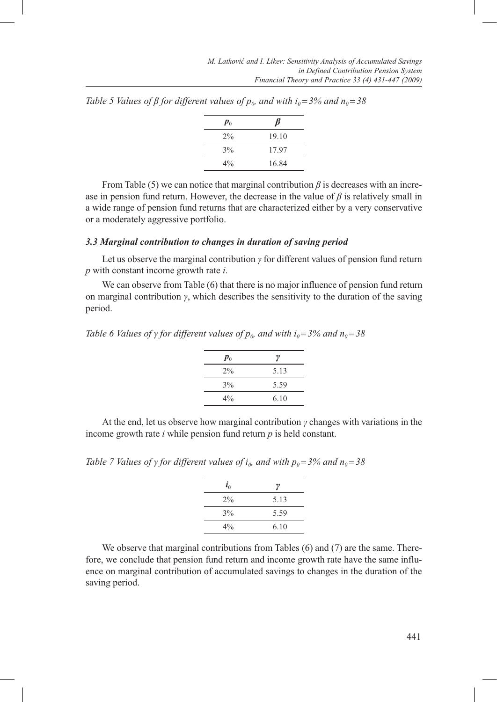| $p_{0}$ | Þ     |
|---------|-------|
| 2%      | 19.10 |
| 3%      | 17.97 |
| $4\%$   | 16.84 |

*Table 5 Values of β for different values of*  $p_0$ *, and with*  $i_0 = 3\%$  *and*  $n_0 = 38$ 

From Table (5) we can notice that marginal contribution  $\beta$  is decreases with an increase in pension fund return. However, the decrease in the value of  $\beta$  is relatively small in a wide range of pension fund returns that are characterized either by a very conservative or a moderately aggressive portfolio.

### *3.3 Marginal contribution to changes in duration of saving period*

Let us observe the marginal contribution *γ* for different values of pension fund return *p* with constant income growth rate *i*.

We can observe from Table (6) that there is no major influence of pension fund return on marginal contribution *γ*, which describes the sensitivity to the duration of the saving period.

*Table 6 Values of γ for different values of*  $p_0$ *, and with*  $i_0 = 3\%$  *and*  $n_0 = 38$ 

| $p_{0}$ | ν    |
|---------|------|
| $2\%$   | 5.13 |
| 3%      | 5.59 |
| $4\%$   | 6.10 |

At the end, let us observe how marginal contribution *γ* changes with variations in the income growth rate *i* while pension fund return *p* is held constant.

*Table 7 Values of γ for different values of i<sub>0</sub>, and with*  $p_0 = 3\%$  *and*  $n_0 = 38$ 

| $i_{0}$ | ν    |
|---------|------|
| $2\%$   | 5.13 |
| 3%      | 5.59 |
| $4\%$   | 6.10 |
|         |      |

We observe that marginal contributions from Tables (6) and (7) are the same. Therefore, we conclude that pension fund return and income growth rate have the same influence on marginal contribution of accumulated savings to changes in the duration of the saving period.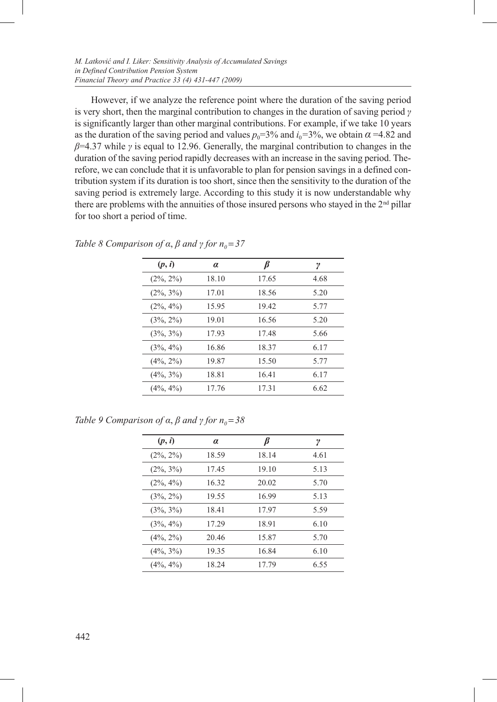However, if we analyze the reference point where the duration of the saving period is very short, then the marginal contribution to changes in the duration of saving period *γ* is significantly larger than other marginal contributions. For example, if we take 10 years as the duration of the saving period and values  $p_0$ =3% and  $i_0$ =3%, we obtain  $\alpha$ =4.82 and *β*=4.37 while *γ* is equal to 12.96. Generally, the marginal contribution to changes in the duration of the saving period rapidly decreases with an increase in the saving period. Therefore, we can conclude that it is unfavorable to plan for pension savings in a defined contribution system if its duration is too short, since then the sensitivity to the duration of the saving period is extremely large. According to this study it is now understandable why there are problems with the annuities of those insured persons who stayed in the  $2<sup>nd</sup>$  pillar for too short a period of time.

| (p, i)       | $\alpha$ | B     | γ    |
|--------------|----------|-------|------|
| $(2\%, 2\%)$ | 18.10    | 17.65 | 4.68 |
| $(2\%, 3\%)$ | 17.01    | 18.56 | 5.20 |
| $(2\%, 4\%)$ | 15.95    | 19.42 | 5.77 |
| $(3\%, 2\%)$ | 19.01    | 16.56 | 5.20 |
| $(3\%, 3\%)$ | 17.93    | 17.48 | 5.66 |
| $(3\%, 4\%)$ | 16.86    | 18.37 | 6.17 |
| $(4\%, 2\%)$ | 19.87    | 15.50 | 5.77 |
| $(4\%, 3\%)$ | 18.81    | 16.41 | 6.17 |
| $(4\%, 4\%)$ | 17.76    | 17.31 | 6.62 |

*Table 8 Comparison of*  $\alpha$ *,*  $\beta$  *<i>and*  $\gamma$  *for*  $n_0 = 37$ 

*Table 9 Comparison of*  $\alpha$ *,*  $\beta$  *<i>and*  $\gamma$  *for*  $n_0 = 38$ 

| (p, i)       | $\alpha$ | ß     | γ    |
|--------------|----------|-------|------|
| $(2\%, 2\%)$ | 18.59    | 18.14 | 4.61 |
| $(2\%, 3\%)$ | 17.45    | 19.10 | 5.13 |
| $(2\%, 4\%)$ | 16.32    | 20.02 | 5.70 |
| $(3\%, 2\%)$ | 19.55    | 16.99 | 5.13 |
| $(3\%, 3\%)$ | 18.41    | 17.97 | 5.59 |
| $(3\%, 4\%)$ | 17.29    | 18.91 | 6.10 |
| $(4\%, 2\%)$ | 20.46    | 15.87 | 5.70 |
| $(4\%, 3\%)$ | 19.35    | 16.84 | 6.10 |
| $(4\%, 4\%)$ | 18.24    | 17.79 | 6.55 |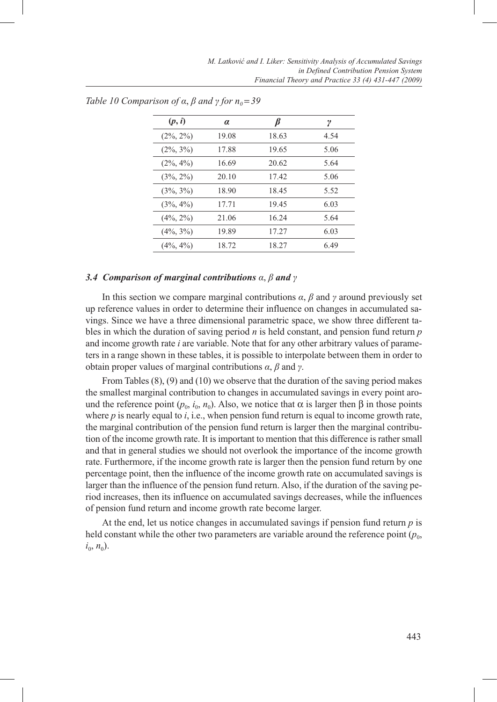| (p, i)       | α     |       | ν    |
|--------------|-------|-------|------|
| $(2\%, 2\%)$ | 19.08 | 18.63 | 4.54 |
| $(2\%, 3\%)$ | 17.88 | 19.65 | 5.06 |
| $(2\%, 4\%)$ | 16.69 | 20.62 | 5.64 |
| $(3\%, 2\%)$ | 20.10 | 17.42 | 5.06 |
| $(3\%, 3\%)$ | 18.90 | 18.45 | 5.52 |
| $(3\%, 4\%)$ | 17.71 | 19.45 | 6.03 |
| $(4\%, 2\%)$ | 21.06 | 16.24 | 5.64 |
| $(4\%, 3\%)$ | 19.89 | 17.27 | 6.03 |
| $(4\%, 4\%)$ | 18.72 | 18.27 | 6.49 |

*Table 10 Comparison of*  $\alpha$ *,*  $\beta$  *<i>and*  $\gamma$  *for*  $n_0 = 39$ 

#### *3.4 Comparison of marginal contributions α*, *β and γ*

In this section we compare marginal contributions  $\alpha$ ,  $\beta$  and  $\gamma$  around previously set up reference values in order to determine their influence on changes in accumulated savings. Since we have a three dimensional parametric space, we show three different tables in which the duration of saving period *n* is held constant, and pension fund return *p* and income growth rate *i* are variable. Note that for any other arbitrary values of parameters in a range shown in these tables, it is possible to interpolate between them in order to obtain proper values of marginal contributions *α*, *β* and *γ*.

From Tables (8), (9) and (10) we observe that the duration of the saving period makes the smallest marginal contribution to changes in accumulated savings in every point around the reference point  $(p_0, i_0, n_0)$ . Also, we notice that  $\alpha$  is larger then  $\beta$  in those points where  $p$  is nearly equal to  $i$ , i.e., when pension fund return is equal to income growth rate, the marginal contribution of the pension fund return is larger then the marginal contribution of the income growth rate. It is important to mention that this difference is rather small and that in general studies we should not overlook the importance of the income growth rate. Furthermore, if the income growth rate is larger then the pension fund return by one percentage point, then the influence of the income growth rate on accumulated savings is larger than the influence of the pension fund return. Also, if the duration of the saving period increases, then its influence on accumulated savings decreases, while the influences of pension fund return and income growth rate become larger.

At the end, let us notice changes in accumulated savings if pension fund return *p* is held constant while the other two parameters are variable around the reference point  $(p_0,$  $i_0, n_0$ ).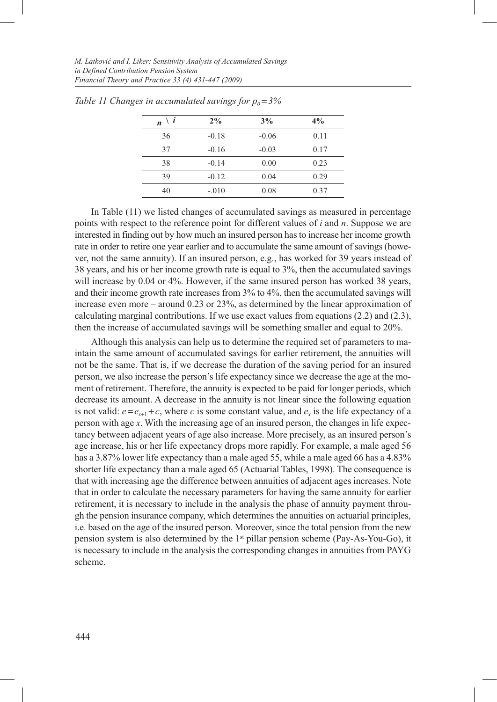| i<br>$\boldsymbol{n}$ | 2%      | 3%      | $4\%$ |
|-----------------------|---------|---------|-------|
| 36                    | $-0.18$ | $-0.06$ | 0.11  |
| 37                    | $-0.16$ | $-0.03$ | 0.17  |
| 38                    | $-0.14$ | 0.00    | 0.23  |
| 39                    | $-0.12$ | 0.04    | 0.29  |
| 40                    | $-.010$ | 0.08    | 0.37  |

*Table 11 Changes in accumulated savings for*  $p_0 = 3\%$ 

In Table (11) we listed changes of accumulated savings as measured in percentage points with respect to the reference point for different values of *i* and *n*. Suppose we are interested in finding out by how much an insured person has to increase her income growth rate in order to retire one year earlier and to accumulate the same amount of savings (however, not the same annuity). If an insured person, e.g., has worked for 39 years instead of 38 years, and his or her income growth rate is equal to 3%, then the accumulated savings will increase by 0.04 or 4%. However, if the same insured person has worked 38 years, and their income growth rate increases from 3% to 4%, then the accumulated savings will increase even more – around 0.23 or 23%, as determined by the linear approximation of calculating marginal contributions. If we use exact values from equations  $(2.2)$  and  $(2.3)$ , then the increase of accumulated savings will be something smaller and equal to 20%.

Although this analysis can help us to determine the required set of parameters to maintain the same amount of accumulated savings for earlier retirement, the annuities will not be the same. That is, if we decrease the duration of the saving period for an insured person, we also increase the person's life expectancy since we decrease the age at the moment of retirement. Therefore, the annuity is expected to be paid for longer periods, which decrease its amount. A decrease in the annuity is not linear since the following equation is not valid:  $e = e_{x+1} + c$ , where *c* is some constant value, and  $e_x$  is the life expectancy of a person with age *x*. With the increasing age of an insured person, the changes in life expectancy between adjacent years of age also increase. More precisely, as an insured person's age increase, his or her life expectancy drops more rapidly. For example, a male aged 56 has a 3.87% lower life expectancy than a male aged 55, while a male aged 66 has a 4.83% shorter life expectancy than a male aged 65 (Actuarial Tables, 1998). The consequence is that with increasing age the difference between annuities of adjacent ages increases. Note that in order to calculate the necessary parameters for having the same annuity for earlier retirement, it is necessary to include in the analysis the phase of annuity payment through the pension insurance company, which determines the annuities on actuarial principles, i.e. based on the age of the insured person. Moreover, since the total pension from the new pension system is also determined by the 1st pillar pension scheme (Pay-As-You-Go), it is necessary to include in the analysis the corresponding changes in annuities from PAYG scheme.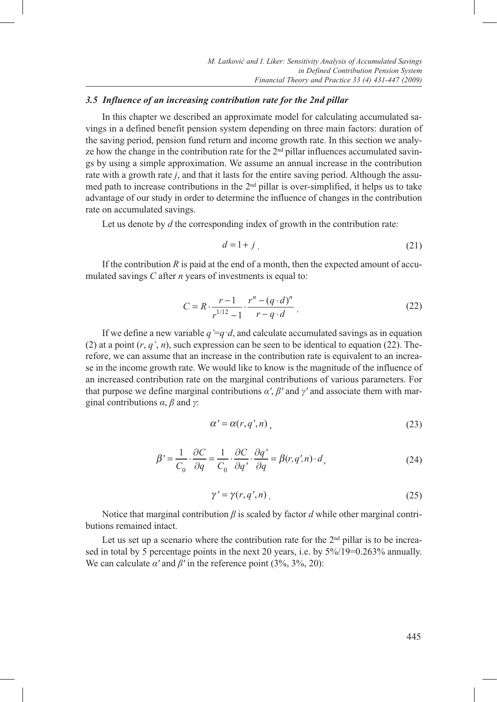#### *3.5 Influence of an increasing contribution rate for the 2nd pillar*

In this chapter we described an approximate model for calculating accumulated savings in a defined benefit pension system depending on three main factors: duration of the saving period, pension fund return and income growth rate. In this section we analyze how the change in the contribution rate for the  $2<sup>nd</sup>$  pillar influences accumulated savings by using a simple approximation. We assume an annual increase in the contribution rate with a growth rate *j*, and that it lasts for the entire saving period. Although the assumed path to increase contributions in the 2nd pillar is over-simplified, it helps us to take advantage of our study in order to determine the influence of changes in the contribution rate on accumulated savings.

Let us denote by *d* the corresponding index of growth in the contribution rate:

$$
d = 1 + j \tag{21}
$$

If the contribution  $R$  is paid at the end of a month, then the expected amount of accumulated savings *C* after *n* years of investments is equal to:

$$
C = R \cdot \frac{r-1}{r^{1/12} - 1} \cdot \frac{r^n - (q \cdot d)^n}{r - q \cdot d} \,. \tag{22}
$$

If we define a new variable  $q' = q \cdot d$ , and calculate accumulated savings as in equation (2) at a point  $(r, q', n)$ , such expression can be seen to be identical to equation (22). Therefore, we can assume that an increase in the contribution rate is equivalent to an increase in the income growth rate. We would like to know is the magnitude of the influence of an increased contribution rate on the marginal contributions of various parameters. For that purpose we define marginal contributions *α'*, *β'* and *γ'* and associate them with marginal contributions *α*, *β* and *γ*:

$$
\alpha' = \alpha(r, q', n), \tag{23}
$$

$$
\beta' = \frac{1}{C_0} \cdot \frac{\partial C}{\partial q} = \frac{1}{C_0} \cdot \frac{\partial C}{\partial q} \cdot \frac{\partial q'}{\partial q} = \beta(r, q', n) \cdot d,
$$
\n(24)

$$
\gamma' = \gamma(r, q', n) \tag{25}
$$

Notice that marginal contribution *β* is scaled by factor *d* while other marginal contributions remained intact.

Let us set up a scenario where the contribution rate for the  $2<sup>nd</sup>$  pillar is to be increased in total by 5 percentage points in the next 20 years, i.e. by 5%/19=0.263% annually. We can calculate  $\alpha'$  and  $\beta'$  in the reference point (3%, 3%, 20):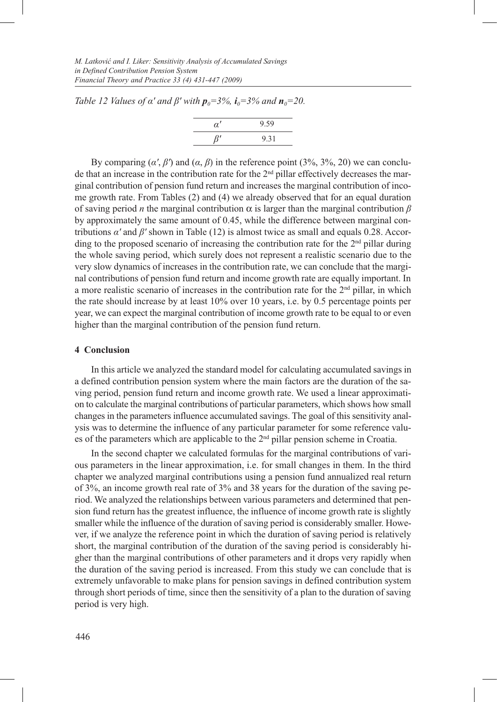*Table 12 Values of*  $\alpha'$  *and*  $\beta'$  *with*  $p_0 = 3\%$ *,*  $i_0 = 3\%$  *and*  $n_0 = 20$ *.* 

| $\alpha'$ | $9.59$ |
|-----------|--------|
| $\beta'$  | $9.31$ |

By comparing  $(\alpha', \beta')$  and  $(\alpha, \beta)$  in the reference point (3%, 3%, 20) we can conclude that an increase in the contribution rate for the 2<sup>nd</sup> pillar effectively decreases the marginal contribution of pension fund return and increases the marginal contribution of income growth rate. From Tables (2) and (4) we already observed that for an equal duration of saving period *n* the marginal contribution  $\alpha$  is larger than the marginal contribution  $\beta$ by approximately the same amount of 0.45, while the difference between marginal contributions *α'* and *β'* shown in Table (12) is almost twice as small and equals 0.28. According to the proposed scenario of increasing the contribution rate for the  $2<sup>nd</sup>$  pillar during the whole saving period, which surely does not represent a realistic scenario due to the very slow dynamics of increases in the contribution rate, we can conclude that the marginal contributions of pension fund return and income growth rate are equally important. In a more realistic scenario of increases in the contribution rate for the  $2<sup>nd</sup>$  pillar, in which the rate should increase by at least 10% over 10 years, i.e. by 0.5 percentage points per year, we can expect the marginal contribution of income growth rate to be equal to or even higher than the marginal contribution of the pension fund return.

## **4 Conclusion**

In this article we analyzed the standard model for calculating accumulated savings in a defined contribution pension system where the main factors are the duration of the saving period, pension fund return and income growth rate. We used a linear approximation to calculate the marginal contributions of particular parameters, which shows how small changes in the parameters influence accumulated savings. The goal of this sensitivity analysis was to determine the influence of any particular parameter for some reference values of the parameters which are applicable to the  $2<sup>nd</sup>$  pillar pension scheme in Croatia.

In the second chapter we calculated formulas for the marginal contributions of various parameters in the linear approximation, i.e. for small changes in them. In the third chapter we analyzed marginal contributions using a pension fund annualized real return of 3%, an income growth real rate of 3% and 38 years for the duration of the saving period. We analyzed the relationships between various parameters and determined that pension fund return has the greatest influence, the influence of income growth rate is slightly smaller while the influence of the duration of saving period is considerably smaller. However, if we analyze the reference point in which the duration of saving period is relatively short, the marginal contribution of the duration of the saving period is considerably higher than the marginal contributions of other parameters and it drops very rapidly when the duration of the saving period is increased. From this study we can conclude that is extremely unfavorable to make plans for pension savings in defined contribution system through short periods of time, since then the sensitivity of a plan to the duration of saving period is very high.